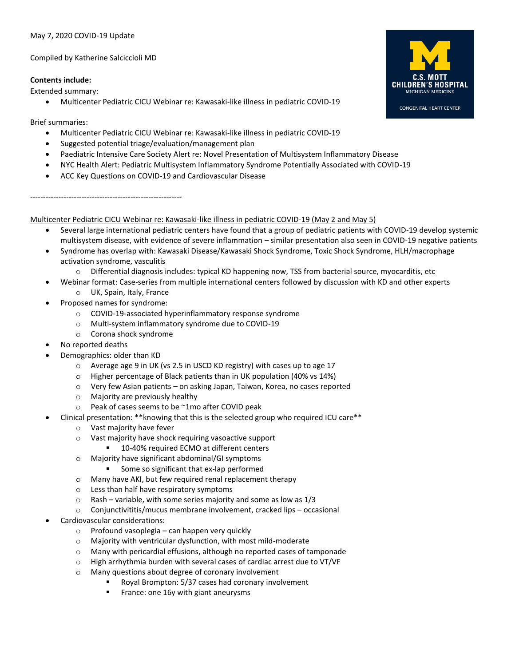### May 7, 2020 COVID-19 Update

Compiled by Katherine Salciccioli MD

### **Contents include:**

Extended summary:

• Multicenter Pediatric CICU Webinar re: Kawasaki-like illness in pediatric COVID-19

# Brief summaries:

- Multicenter Pediatric CICU Webinar re: Kawasaki-like illness in pediatric COVID-19
- Suggested potential triage/evaluation/management plan
- Paediatric Intensive Care Society Alert re: Novel Presentation of Multisystem Inflammatory Disease
- NYC Health Alert: Pediatric Multisystem Inflammatory Syndrome Potentially Associated with COVID-19
- ACC Key Questions on COVID-19 and Cardiovascular Disease

-----------------------------------------------------------

Multicenter Pediatric CICU Webinar re: Kawasaki-like illness in pediatric COVID-19 (May 2 and May 5)

- Several large international pediatric centers have found that a group of pediatric patients with COVID-19 develop systemic multisystem disease, with evidence of severe inflammation – similar presentation also seen in COVID-19 negative patients
- Syndrome has overlap with: Kawasaki Disease/Kawasaki Shock Syndrome, Toxic Shock Syndrome, HLH/macrophage activation syndrome, vasculitis
	- o Differential diagnosis includes: typical KD happening now, TSS from bacterial source, myocarditis, etc
- Webinar format: Case-series from multiple international centers followed by discussion with KD and other experts
	- o UK, Spain, Italy, France
- Proposed names for syndrome:
	- o COVID-19-associated hyperinflammatory response syndrome
	- o Multi-system inflammatory syndrome due to COVID-19
	- o Corona shock syndrome
- No reported deaths
	- Demographics: older than KD
		- o Average age 9 in UK (vs 2.5 in USCD KD registry) with cases up to age 17
		- o Higher percentage of Black patients than in UK population (40% vs 14%)
		- o Very few Asian patients on asking Japan, Taiwan, Korea, no cases reported
		- o Majority are previously healthy
		- o Peak of cases seems to be ~1mo after COVID peak
- Clinical presentation: \*\*knowing that this is the selected group who required ICU care\*\*
	- o Vast majority have fever
	- o Vast majority have shock requiring vasoactive support
		- 10-40% required ECMO at different centers
	- o Majority have significant abdominal/GI symptoms
		- Some so significant that ex-lap performed
	- o Many have AKI, but few required renal replacement therapy
	- o Less than half have respiratory symptoms
	- $\circ$  Rash variable, with some series majority and some as low as 1/3
	- o Conjunctivititis/mucus membrane involvement, cracked lips occasional
- Cardiovascular considerations:
	- o Profound vasoplegia can happen very quickly
	- o Majority with ventricular dysfunction, with most mild-moderate
	- o Many with pericardial effusions, although no reported cases of tamponade
	- o High arrhythmia burden with several cases of cardiac arrest due to VT/VF
	- o Many questions about degree of coronary involvement
		- Royal Brompton: 5/37 cases had coronary involvement
		- France: one 16y with giant aneurysms

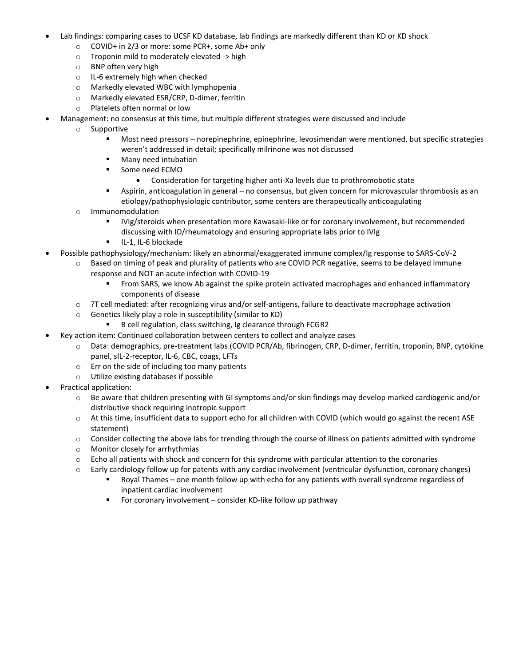- Lab findings: comparing cases to UCSF KD database, lab findings are markedly different than KD or KD shock
	- o COVID+ in 2/3 or more: some PCR+, some Ab+ only
	- o Troponin mild to moderately elevated -> high
	- o BNP often very high
	- o IL-6 extremely high when checked
	- o Markedly elevated WBC with lymphopenia
	- o Markedly elevated ESR/CRP, D-dimer, ferritin
	- o Platelets often normal or low
- Management: no consensus at this time, but multiple different strategies were discussed and include
	- o Supportive
		- Most need pressors norepinephrine, epinephrine, levosimendan were mentioned, but specific strategies weren't addressed in detail; specifically milrinone was not discussed
		- Many need intubation
		- Some need ECMO
			- Consideration for targeting higher anti-Xa levels due to prothromobotic state
		- Aspirin, anticoagulation in general no consensus, but given concern for microvascular thrombosis as an etiology/pathophysiologic contributor, some centers are therapeutically anticoagulating
	- o Immunomodulation
		- IVIg/steroids when presentation more Kawasaki-like or for coronary involvement, but recommended discussing with ID/rheumatology and ensuring appropriate labs prior to IVIg
		- IL-1, IL-6 blockade
- Possible pathophysiology/mechanism: likely an abnormal/exaggerated immune complex/Ig response to SARS-CoV-2
	- Based on timing of peak and plurality of patients who are COVID PCR negative, seems to be delayed immune response and NOT an acute infection with COVID-19
		- From SARS, we know Ab against the spike protein activated macrophages and enhanced inflammatory components of disease
	- o ?T cell mediated: after recognizing virus and/or self-antigens, failure to deactivate macrophage activation
	- o Genetics likely play a role in susceptibility (similar to KD)
		- B cell regulation, class switching, Ig clearance through FCGR2
- Key action item: Continued collaboration between centers to collect and analyze cases
	- o Data: demographics, pre-treatment labs (COVID PCR/Ab, fibrinogen, CRP, D-dimer, ferritin, troponin, BNP, cytokine panel, sIL-2-receptor, IL-6, CBC, coags, LFTs
	- o Err on the side of including too many patients
	- o Utilize existing databases if possible
- Practical application:
	- o Be aware that children presenting with GI symptoms and/or skin findings may develop marked cardiogenic and/or distributive shock requiring inotropic support
	- $\circ$  At this time, insufficient data to support echo for all children with COVID (which would go against the recent ASE statement)
	- o Consider collecting the above labs for trending through the course of illness on patients admitted with syndrome
	- o Monitor closely for arrhythmias
	- $\circ$  Echo all patients with shock and concern for this syndrome with particular attention to the coronaries
	- o Early cardiology follow up for patents with any cardiac involvement (ventricular dysfunction, coronary changes)
		- Royal Thames one month follow up with echo for any patients with overall syndrome regardless of inpatient cardiac involvement
		- For coronary involvement consider KD-like follow up pathway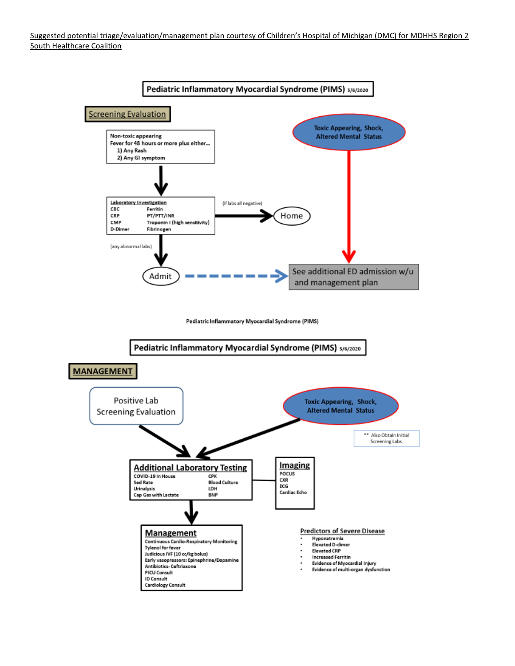Suggested potential triage/evaluation/management plan courtesy of Children's Hospital of Michigan (DMC) for MDHHS Region 2 South Healthcare Coalition